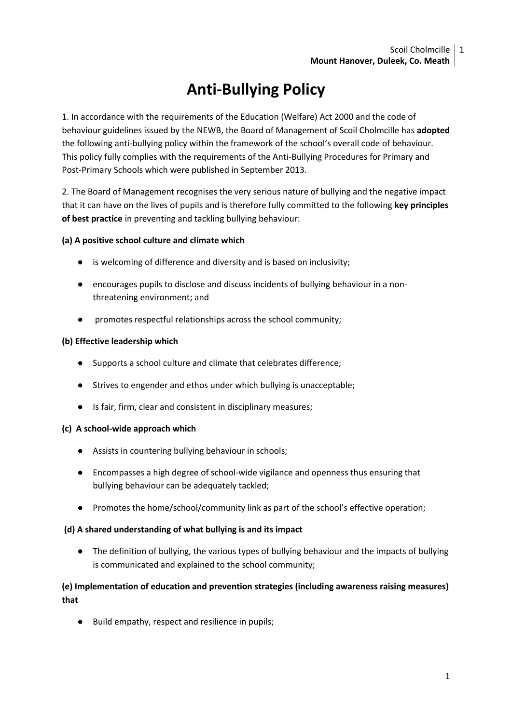# **Anti-Bullying Policy**

1. In accordance with the requirements of the Education (Welfare) Act 2000 and the code of behaviour guidelines issued by the NEWB, the Board of Management of Scoil Cholmcille has **adopted**  the following anti-bullying policy within the framework of the school's overall code of behaviour. This policy fully complies with the requirements of the Anti-Bullying Procedures for Primary and Post-Primary Schools which were published in September 2013.

2. The Board of Management recognises the very serious nature of bullying and the negative impact that it can have on the lives of pupils and is therefore fully committed to the following **key principles of best practice** in preventing and tackling bullying behaviour:

# **(a) A positive school culture and climate which**

- is welcoming of difference and diversity and is based on inclusivity;
- encourages pupils to disclose and discuss incidents of bullying behaviour in a nonthreatening environment; and
- promotes respectful relationships across the school community;

# **(b) Effective leadership which**

- Supports a school culture and climate that celebrates difference;
- Strives to engender and ethos under which bullying is unacceptable;
- Is fair, firm, clear and consistent in disciplinary measures;

# **(c) A school-wide approach which**

- Assists in countering bullying behaviour in schools;
- Encompasses a high degree of school-wide vigilance and openness thus ensuring that bullying behaviour can be adequately tackled;
- Promotes the home/school/community link as part of the school's effective operation;

# **(d) A shared understanding of what bullying is and its impact**

● The definition of bullying, the various types of bullying behaviour and the impacts of bullying is communicated and explained to the school community;

# **(e) Implementation of education and prevention strategies (including awareness raising measures) that**

● Build empathy, respect and resilience in pupils;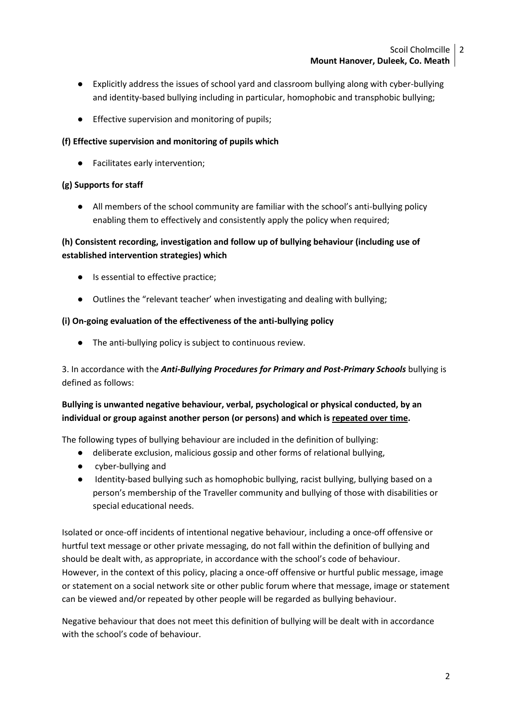- Explicitly address the issues of school yard and classroom bullying along with cyber-bullying and identity-based bullying including in particular, homophobic and transphobic bullying;
- Effective supervision and monitoring of pupils;

# **(f) Effective supervision and monitoring of pupils which**

● Facilitates early intervention;

# **(g) Supports for staff**

● All members of the school community are familiar with the school's anti-bullying policy enabling them to effectively and consistently apply the policy when required;

# **(h) Consistent recording, investigation and follow up of bullying behaviour (including use of established intervention strategies) which**

- Is essential to effective practice;
- Outlines the "relevant teacher' when investigating and dealing with bullying;

# **(i) On-going evaluation of the effectiveness of the anti-bullying policy**

● The anti-bullying policy is subject to continuous review.

3. In accordance with the *Anti-Bullying Procedures for Primary and Post-Primary Schools* bullying is defined as follows:

# **Bullying is unwanted negative behaviour, verbal, psychological or physical conducted, by an individual or group against another person (or persons) and which is repeated over time.**

The following types of bullying behaviour are included in the definition of bullying:

- deliberate exclusion, malicious gossip and other forms of relational bullying,
- cyber-bullying and
- Identity-based bullying such as homophobic bullying, racist bullying, bullying based on a person's membership of the Traveller community and bullying of those with disabilities or special educational needs.

Isolated or once-off incidents of intentional negative behaviour, including a once-off offensive or hurtful text message or other private messaging, do not fall within the definition of bullying and should be dealt with, as appropriate, in accordance with the school's code of behaviour. However, in the context of this policy, placing a once-off offensive or hurtful public message, image or statement on a social network site or other public forum where that message, image or statement can be viewed and/or repeated by other people will be regarded as bullying behaviour.

Negative behaviour that does not meet this definition of bullying will be dealt with in accordance with the school's code of behaviour.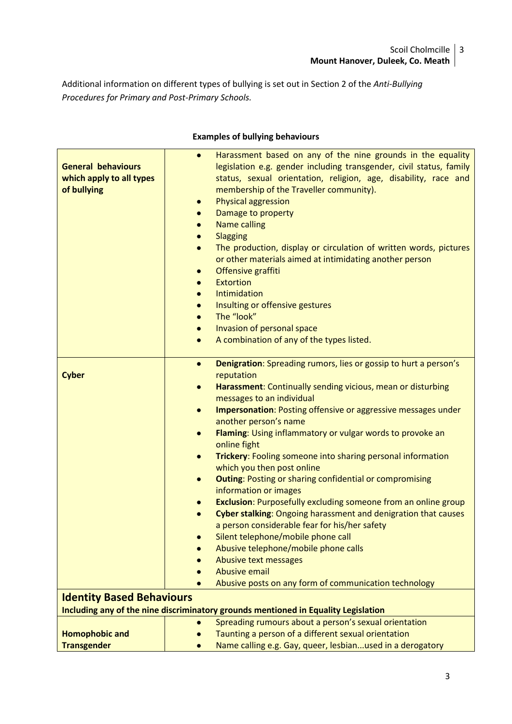Additional information on different types of bullying is set out in Section 2 of the *Anti-Bullying Procedures for Primary and Post-Primary Schools.*

| <b>General behaviours</b><br>which apply to all types<br>of bullying | Harassment based on any of the nine grounds in the equality<br>$\bullet$<br>legislation e.g. gender including transgender, civil status, family<br>status, sexual orientation, religion, age, disability, race and<br>membership of the Traveller community).<br><b>Physical aggression</b><br>$\bullet$<br>Damage to property<br>$\bullet$<br><b>Name calling</b><br>$\bullet$<br>Slagging<br>$\bullet$<br>The production, display or circulation of written words, pictures<br>$\bullet$<br>or other materials aimed at intimidating another person<br>Offensive graffiti<br>$\bullet$<br><b>Extortion</b><br>$\bullet$<br>Intimidation<br>$\bullet$<br>Insulting or offensive gestures<br>$\bullet$<br>The "look"<br>$\bullet$<br>Invasion of personal space<br>$\bullet$<br>A combination of any of the types listed.<br>$\bullet$ |
|----------------------------------------------------------------------|----------------------------------------------------------------------------------------------------------------------------------------------------------------------------------------------------------------------------------------------------------------------------------------------------------------------------------------------------------------------------------------------------------------------------------------------------------------------------------------------------------------------------------------------------------------------------------------------------------------------------------------------------------------------------------------------------------------------------------------------------------------------------------------------------------------------------------------|
| <b>Cyber</b>                                                         | <b>Denigration:</b> Spreading rumors, lies or gossip to hurt a person's<br>$\bullet$<br>reputation                                                                                                                                                                                                                                                                                                                                                                                                                                                                                                                                                                                                                                                                                                                                     |
|                                                                      | Harassment: Continually sending vicious, mean or disturbing<br>$\bullet$                                                                                                                                                                                                                                                                                                                                                                                                                                                                                                                                                                                                                                                                                                                                                               |
|                                                                      | messages to an individual                                                                                                                                                                                                                                                                                                                                                                                                                                                                                                                                                                                                                                                                                                                                                                                                              |
|                                                                      | Impersonation: Posting offensive or aggressive messages under<br>$\bullet$                                                                                                                                                                                                                                                                                                                                                                                                                                                                                                                                                                                                                                                                                                                                                             |
|                                                                      | another person's name                                                                                                                                                                                                                                                                                                                                                                                                                                                                                                                                                                                                                                                                                                                                                                                                                  |
|                                                                      | Flaming: Using inflammatory or vulgar words to provoke an<br>$\bullet$<br>online fight                                                                                                                                                                                                                                                                                                                                                                                                                                                                                                                                                                                                                                                                                                                                                 |
|                                                                      | Trickery: Fooling someone into sharing personal information<br>$\bullet$                                                                                                                                                                                                                                                                                                                                                                                                                                                                                                                                                                                                                                                                                                                                                               |
|                                                                      | which you then post online                                                                                                                                                                                                                                                                                                                                                                                                                                                                                                                                                                                                                                                                                                                                                                                                             |
|                                                                      | <b>Outing: Posting or sharing confidential or compromising</b><br>$\bullet$<br>information or images                                                                                                                                                                                                                                                                                                                                                                                                                                                                                                                                                                                                                                                                                                                                   |
|                                                                      | <b>Exclusion:</b> Purposefully excluding someone from an online group<br>$\bullet$                                                                                                                                                                                                                                                                                                                                                                                                                                                                                                                                                                                                                                                                                                                                                     |
|                                                                      | Cyber stalking: Ongoing harassment and denigration that causes<br>$\bullet$                                                                                                                                                                                                                                                                                                                                                                                                                                                                                                                                                                                                                                                                                                                                                            |
|                                                                      | a person considerable fear for his/her safety                                                                                                                                                                                                                                                                                                                                                                                                                                                                                                                                                                                                                                                                                                                                                                                          |
|                                                                      | Silent telephone/mobile phone call                                                                                                                                                                                                                                                                                                                                                                                                                                                                                                                                                                                                                                                                                                                                                                                                     |
|                                                                      | Abusive telephone/mobile phone calls                                                                                                                                                                                                                                                                                                                                                                                                                                                                                                                                                                                                                                                                                                                                                                                                   |
|                                                                      | Abusive text messages<br><b>Abusive email</b>                                                                                                                                                                                                                                                                                                                                                                                                                                                                                                                                                                                                                                                                                                                                                                                          |
|                                                                      | Abusive posts on any form of communication technology                                                                                                                                                                                                                                                                                                                                                                                                                                                                                                                                                                                                                                                                                                                                                                                  |
| <b>Identity Based Behaviours</b>                                     |                                                                                                                                                                                                                                                                                                                                                                                                                                                                                                                                                                                                                                                                                                                                                                                                                                        |
|                                                                      | Including any of the nine discriminatory grounds mentioned in Equality Legislation                                                                                                                                                                                                                                                                                                                                                                                                                                                                                                                                                                                                                                                                                                                                                     |
|                                                                      | Spreading rumours about a person's sexual orientation<br>$\bullet$                                                                                                                                                                                                                                                                                                                                                                                                                                                                                                                                                                                                                                                                                                                                                                     |
| <b>Homophobic and</b>                                                | Taunting a person of a different sexual orientation                                                                                                                                                                                                                                                                                                                                                                                                                                                                                                                                                                                                                                                                                                                                                                                    |
| <b>Transgender</b>                                                   | Name calling e.g. Gay, queer, lesbianused in a derogatory                                                                                                                                                                                                                                                                                                                                                                                                                                                                                                                                                                                                                                                                                                                                                                              |

# **Examples of bullying behaviours**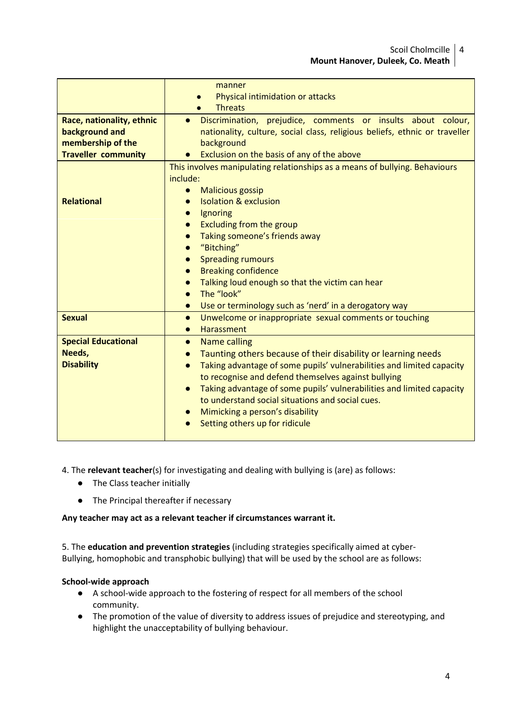|                                                                                                | manner<br>Physical intimidation or attacks<br><b>Threats</b>                                                                                                                                                                                                                                                                                                                                                                                                                                                                                                               |
|------------------------------------------------------------------------------------------------|----------------------------------------------------------------------------------------------------------------------------------------------------------------------------------------------------------------------------------------------------------------------------------------------------------------------------------------------------------------------------------------------------------------------------------------------------------------------------------------------------------------------------------------------------------------------------|
| Race, nationality, ethnic<br>background and<br>membership of the<br><b>Traveller community</b> | Discrimination, prejudice, comments or insults about colour,<br>$\bullet$<br>nationality, culture, social class, religious beliefs, ethnic or traveller<br>background<br>Exclusion on the basis of any of the above                                                                                                                                                                                                                                                                                                                                                        |
| <b>Relational</b>                                                                              | This involves manipulating relationships as a means of bullying. Behaviours<br>include:<br><b>Malicious gossip</b><br>$\bullet$<br><b>Isolation &amp; exclusion</b><br>$\bullet$<br>Ignoring<br>$\bullet$<br><b>Excluding from the group</b><br>$\bullet$<br>Taking someone's friends away<br>$\bullet$<br>"Bitching"<br>$\bullet$<br><b>Spreading rumours</b><br>$\bullet$<br><b>Breaking confidence</b><br>$\bullet$<br>Talking loud enough so that the victim can hear<br>The "look"<br>$\bullet$<br>Use or terminology such as 'nerd' in a derogatory way<br>$\bullet$ |
| <b>Sexual</b>                                                                                  | Unwelcome or inappropriate sexual comments or touching<br>$\bullet$<br><b>Harassment</b><br>$\bullet$                                                                                                                                                                                                                                                                                                                                                                                                                                                                      |
| <b>Special Educational</b><br>Needs,<br><b>Disability</b>                                      | <b>Name calling</b><br>$\bullet$<br>Taunting others because of their disability or learning needs<br>$\bullet$<br>Taking advantage of some pupils' vulnerabilities and limited capacity<br>$\bullet$<br>to recognise and defend themselves against bullying<br>Taking advantage of some pupils' vulnerabilities and limited capacity<br>to understand social situations and social cues.<br>Mimicking a person's disability<br>Setting others up for ridicule                                                                                                              |

# 4. The **relevant teacher**(s) for investigating and dealing with bullying is (are) as follows:

- The Class teacher initially
- The Principal thereafter if necessary

#### **Any teacher may act as a relevant teacher if circumstances warrant it.**

5. The **education and prevention strategies** (including strategies specifically aimed at cyber-Bullying, homophobic and transphobic bullying) that will be used by the school are as follows:

#### **School-wide approach**

- A school-wide approach to the fostering of respect for all members of the school community.
- The promotion of the value of diversity to address issues of prejudice and stereotyping, and highlight the unacceptability of bullying behaviour.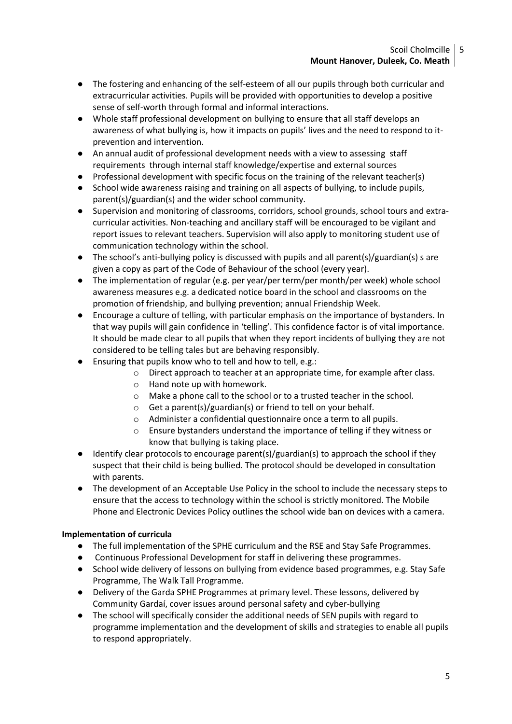- The fostering and enhancing of the self-esteem of all our pupils through both curricular and extracurricular activities. Pupils will be provided with opportunities to develop a positive sense of self-worth through formal and informal interactions.
- Whole staff professional development on bullying to ensure that all staff develops an awareness of what bullying is, how it impacts on pupils' lives and the need to respond to itprevention and intervention.
- An annual audit of professional development needs with a view to assessing staff requirements through internal staff knowledge/expertise and external sources
- Professional development with specific focus on the training of the relevant teacher(s)
- School wide awareness raising and training on all aspects of bullying, to include pupils, parent(s)/guardian(s) and the wider school community.
- Supervision and monitoring of classrooms, corridors, school grounds, school tours and extracurricular activities. Non-teaching and ancillary staff will be encouraged to be vigilant and report issues to relevant teachers. Supervision will also apply to monitoring student use of communication technology within the school.
- The school's anti-bullying policy is discussed with pupils and all parent(s)/guardian(s) s are given a copy as part of the Code of Behaviour of the school (every year).
- The implementation of regular (e.g. per year/per term/per month/per week) whole school awareness measures e.g. a dedicated notice board in the school and classrooms on the promotion of friendship, and bullying prevention; annual Friendship Week.
- Encourage a culture of telling, with particular emphasis on the importance of bystanders. In that way pupils will gain confidence in 'telling'. This confidence factor is of vital importance. It should be made clear to all pupils that when they report incidents of bullying they are not considered to be telling tales but are behaving responsibly.
- Ensuring that pupils know who to tell and how to tell, e.g.:
	- $\circ$  Direct approach to teacher at an appropriate time, for example after class.
	- o Hand note up with homework.
	- o Make a phone call to the school or to a trusted teacher in the school.
	- o Get a parent(s)/guardian(s) or friend to tell on your behalf.
	- o Administer a confidential questionnaire once a term to all pupils.
	- o Ensure bystanders understand the importance of telling if they witness or know that bullying is taking place.
- Identify clear protocols to encourage parent(s)/guardian(s) to approach the school if they suspect that their child is being bullied. The protocol should be developed in consultation with parents.
- The development of an Acceptable Use Policy in the school to include the necessary steps to ensure that the access to technology within the school is strictly monitored. The Mobile Phone and Electronic Devices Policy outlines the school wide ban on devices with a camera.

#### **Implementation of curricula**

- The full implementation of the SPHE curriculum and the RSE and Stay Safe Programmes.
- Continuous Professional Development for staff in delivering these programmes.
- School wide delivery of lessons on bullying from evidence based programmes, e.g. Stay Safe Programme, The Walk Tall Programme.
- Delivery of the Garda SPHE Programmes at primary level. These lessons, delivered by Community Gardaí, cover issues around personal safety and cyber-bullying
- The school will specifically consider the additional needs of SEN pupils with regard to programme implementation and the development of skills and strategies to enable all pupils to respond appropriately.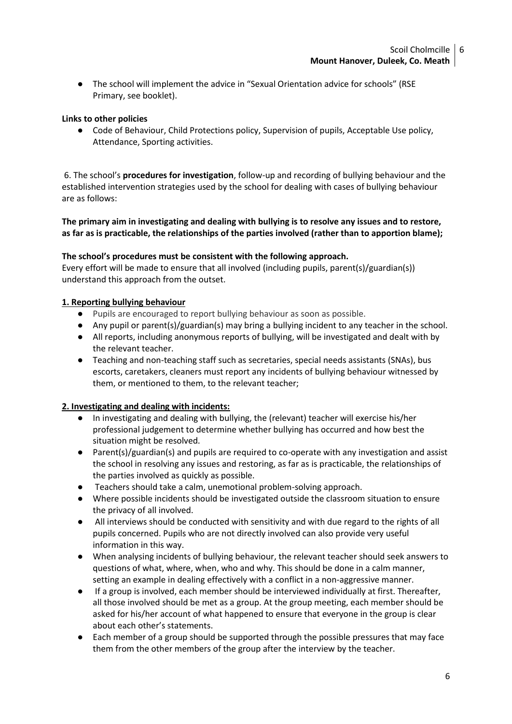● The school will implement the advice in "Sexual Orientation advice for schools" (RSE Primary, see booklet).

### **Links to other policies**

● Code of Behaviour, Child Protections policy, Supervision of pupils, Acceptable Use policy, Attendance, Sporting activities.

6. The school's **procedures for investigation**, follow-up and recording of bullying behaviour and the established intervention strategies used by the school for dealing with cases of bullying behaviour are as follows:

**The primary aim in investigating and dealing with bullying is to resolve any issues and to restore, as far as is practicable, the relationships of the parties involved (rather than to apportion blame);**

#### **The school's procedures must be consistent with the following approach.**

Every effort will be made to ensure that all involved (including pupils, parent(s)/guardian(s)) understand this approach from the outset.

### **1. Reporting bullying behaviour**

- Pupils are encouraged to report bullying behaviour as soon as possible.
- Any pupil or parent(s)/guardian(s) may bring a bullying incident to any teacher in the school.
- All reports, including anonymous reports of bullying, will be investigated and dealt with by the relevant teacher.
- Teaching and non-teaching staff such as secretaries, special needs assistants (SNAs), bus escorts, caretakers, cleaners must report any incidents of bullying behaviour witnessed by them, or mentioned to them, to the relevant teacher;

# **2. Investigating and dealing with incidents:**

- In investigating and dealing with bullying, the (relevant) teacher will exercise his/her professional judgement to determine whether bullying has occurred and how best the situation might be resolved.
- Parent(s)/guardian(s) and pupils are required to co-operate with any investigation and assist the school in resolving any issues and restoring, as far as is practicable, the relationships of the parties involved as quickly as possible.
- Teachers should take a calm, unemotional problem-solving approach.
- Where possible incidents should be investigated outside the classroom situation to ensure the privacy of all involved.
- All interviews should be conducted with sensitivity and with due regard to the rights of all pupils concerned. Pupils who are not directly involved can also provide very useful information in this way.
- When analysing incidents of bullying behaviour, the relevant teacher should seek answers to questions of what, where, when, who and why. This should be done in a calm manner, setting an example in dealing effectively with a conflict in a non-aggressive manner.
- If a group is involved, each member should be interviewed individually at first. Thereafter, all those involved should be met as a group. At the group meeting, each member should be asked for his/her account of what happened to ensure that everyone in the group is clear about each other's statements.
- Each member of a group should be supported through the possible pressures that may face them from the other members of the group after the interview by the teacher.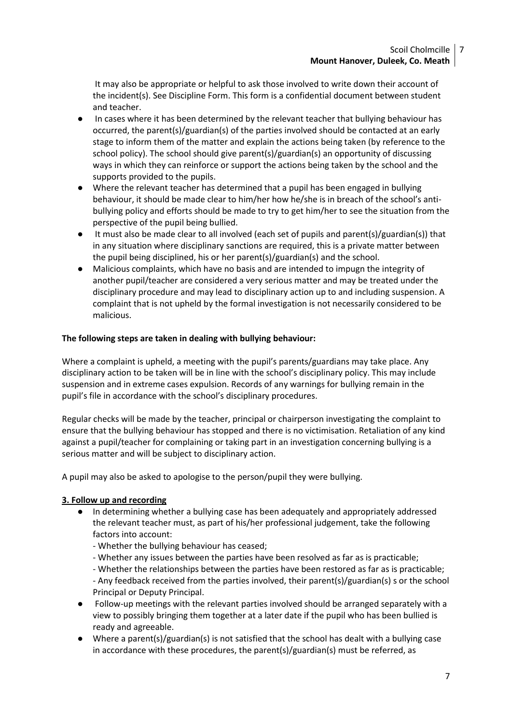It may also be appropriate or helpful to ask those involved to write down their account of the incident(s). See Discipline Form. This form is a confidential document between student and teacher.

- In cases where it has been determined by the relevant teacher that bullying behaviour has occurred, the parent(s)/guardian(s) of the parties involved should be contacted at an early stage to inform them of the matter and explain the actions being taken (by reference to the school policy). The school should give parent(s)/guardian(s) an opportunity of discussing ways in which they can reinforce or support the actions being taken by the school and the supports provided to the pupils.
- Where the relevant teacher has determined that a pupil has been engaged in bullying behaviour, it should be made clear to him/her how he/she is in breach of the school's antibullying policy and efforts should be made to try to get him/her to see the situation from the perspective of the pupil being bullied.
- It must also be made clear to all involved (each set of pupils and parent(s)/guardian(s)) that in any situation where disciplinary sanctions are required, this is a private matter between the pupil being disciplined, his or her parent(s)/guardian(s) and the school.
- Malicious complaints, which have no basis and are intended to impugn the integrity of another pupil/teacher are considered a very serious matter and may be treated under the disciplinary procedure and may lead to disciplinary action up to and including suspension. A complaint that is not upheld by the formal investigation is not necessarily considered to be malicious.

### **The following steps are taken in dealing with bullying behaviour:**

Where a complaint is upheld, a meeting with the pupil's parents/guardians may take place. Any disciplinary action to be taken will be in line with the school's disciplinary policy. This may include suspension and in extreme cases expulsion. Records of any warnings for bullying remain in the pupil's file in accordance with the school's disciplinary procedures.

Regular checks will be made by the teacher, principal or chairperson investigating the complaint to ensure that the bullying behaviour has stopped and there is no victimisation. Retaliation of any kind against a pupil/teacher for complaining or taking part in an investigation concerning bullying is a serious matter and will be subject to disciplinary action.

A pupil may also be asked to apologise to the person/pupil they were bullying.

#### **3. Follow up and recording**

- In determining whether a bullying case has been adequately and appropriately addressed the relevant teacher must, as part of his/her professional judgement, take the following factors into account:
	- Whether the bullying behaviour has ceased;
	- Whether any issues between the parties have been resolved as far as is practicable;
	- Whether the relationships between the parties have been restored as far as is practicable;

- Any feedback received from the parties involved, their parent(s)/guardian(s) s or the school Principal or Deputy Principal.

- Follow-up meetings with the relevant parties involved should be arranged separately with a view to possibly bringing them together at a later date if the pupil who has been bullied is ready and agreeable.
- Where a parent(s)/guardian(s) is not satisfied that the school has dealt with a bullying case in accordance with these procedures, the parent(s)/guardian(s) must be referred, as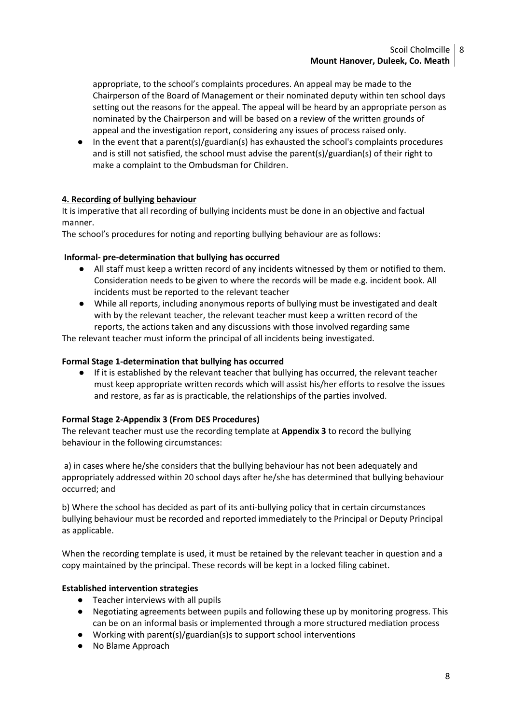appropriate, to the school's complaints procedures. An appeal may be made to the Chairperson of the Board of Management or their nominated deputy within ten school days setting out the reasons for the appeal. The appeal will be heard by an appropriate person as nominated by the Chairperson and will be based on a review of the written grounds of appeal and the investigation report, considering any issues of process raised only.

In the event that a parent(s)/guardian(s) has exhausted the school's complaints procedures and is still not satisfied, the school must advise the parent(s)/guardian(s) of their right to make a complaint to the Ombudsman for Children.

# **4. Recording of bullying behaviour**

It is imperative that all recording of bullying incidents must be done in an objective and factual manner.

The school's procedures for noting and reporting bullying behaviour are as follows:

# **Informal- pre-determination that bullying has occurred**

- All staff must keep a written record of any incidents witnessed by them or notified to them. Consideration needs to be given to where the records will be made e.g. incident book. All incidents must be reported to the relevant teacher
- While all reports, including anonymous reports of bullying must be investigated and dealt with by the relevant teacher, the relevant teacher must keep a written record of the reports, the actions taken and any discussions with those involved regarding same

The relevant teacher must inform the principal of all incidents being investigated.

### **Formal Stage 1-determination that bullying has occurred**

● If it is established by the relevant teacher that bullying has occurred, the relevant teacher must keep appropriate written records which will assist his/her efforts to resolve the issues and restore, as far as is practicable, the relationships of the parties involved.

# **Formal Stage 2-Appendix 3 (From DES Procedures)**

The relevant teacher must use the recording template at **Appendix 3** to record the bullying behaviour in the following circumstances:

a) in cases where he/she considers that the bullying behaviour has not been adequately and appropriately addressed within 20 school days after he/she has determined that bullying behaviour occurred; and

b) Where the school has decided as part of its anti-bullying policy that in certain circumstances bullying behaviour must be recorded and reported immediately to the Principal or Deputy Principal as applicable.

When the recording template is used, it must be retained by the relevant teacher in question and a copy maintained by the principal. These records will be kept in a locked filing cabinet.

#### **Established intervention strategies**

- Teacher interviews with all pupils
- Negotiating agreements between pupils and following these up by monitoring progress. This can be on an informal basis or implemented through a more structured mediation process
- Working with parent(s)/guardian(s)s to support school interventions
- No Blame Approach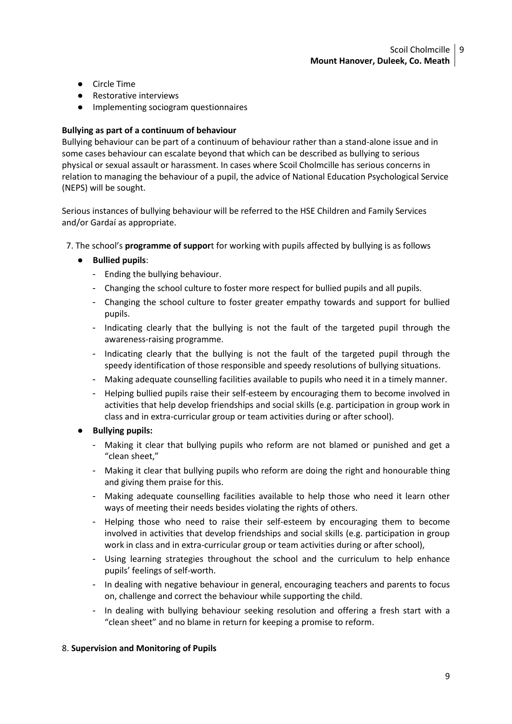- Circle Time
- Restorative interviews
- Implementing sociogram questionnaires

#### **Bullying as part of a continuum of behaviour**

Bullying behaviour can be part of a continuum of behaviour rather than a stand-alone issue and in some cases behaviour can escalate beyond that which can be described as bullying to serious physical or sexual assault or harassment. In cases where Scoil Cholmcille has serious concerns in relation to managing the behaviour of a pupil, the advice of National Education Psychological Service (NEPS) will be sought.

Serious instances of bullying behaviour will be referred to the HSE Children and Family Services and/or Gardaí as appropriate.

7. The school's **programme of suppor**t for working with pupils affected by bullying is as follows

# ● **Bullied pupils**:

- Ending the bullying behaviour.
- Changing the school culture to foster more respect for bullied pupils and all pupils.
- Changing the school culture to foster greater empathy towards and support for bullied pupils.
- Indicating clearly that the bullying is not the fault of the targeted pupil through the awareness-raising programme.
- Indicating clearly that the bullying is not the fault of the targeted pupil through the speedy identification of those responsible and speedy resolutions of bullying situations.
- Making adequate counselling facilities available to pupils who need it in a timely manner.
- Helping bullied pupils raise their self-esteem by encouraging them to become involved in activities that help develop friendships and social skills (e.g. participation in group work in class and in extra-curricular group or team activities during or after school).

#### ● **Bullying pupils:**

- Making it clear that bullying pupils who reform are not blamed or punished and get a "clean sheet,"
- Making it clear that bullying pupils who reform are doing the right and honourable thing and giving them praise for this.
- Making adequate counselling facilities available to help those who need it learn other ways of meeting their needs besides violating the rights of others.
- Helping those who need to raise their self-esteem by encouraging them to become involved in activities that develop friendships and social skills (e.g. participation in group work in class and in extra-curricular group or team activities during or after school),
- Using learning strategies throughout the school and the curriculum to help enhance pupils' feelings of self-worth.
- In dealing with negative behaviour in general, encouraging teachers and parents to focus on, challenge and correct the behaviour while supporting the child.
- In dealing with bullying behaviour seeking resolution and offering a fresh start with a "clean sheet" and no blame in return for keeping a promise to reform.

#### 8. **Supervision and Monitoring of Pupils**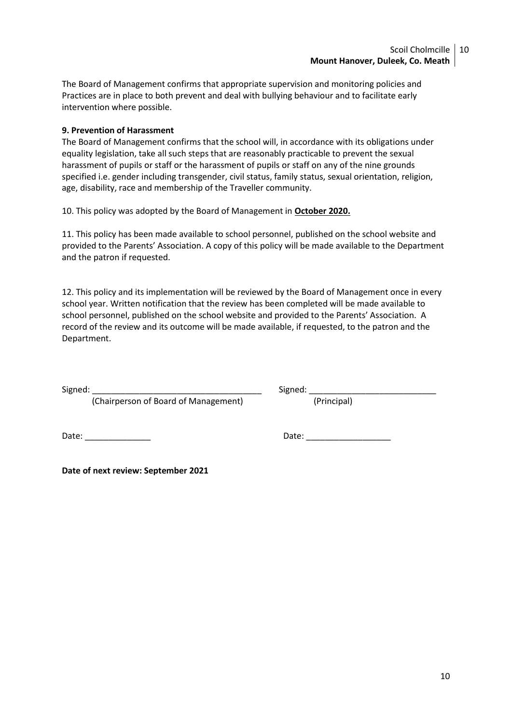The Board of Management confirms that appropriate supervision and monitoring policies and Practices are in place to both prevent and deal with bullying behaviour and to facilitate early intervention where possible.

## **9. Prevention of Harassment**

The Board of Management confirms that the school will, in accordance with its obligations under equality legislation, take all such steps that are reasonably practicable to prevent the sexual harassment of pupils or staff or the harassment of pupils or staff on any of the nine grounds specified i.e. gender including transgender, civil status, family status, sexual orientation, religion, age, disability, race and membership of the Traveller community.

10. This policy was adopted by the Board of Management in **October 2020.**

11. This policy has been made available to school personnel, published on the school website and provided to the Parents' Association. A copy of this policy will be made available to the Department and the patron if requested.

12. This policy and its implementation will be reviewed by the Board of Management once in every school year. Written notification that the review has been completed will be made available to school personnel, published on the school website and provided to the Parents' Association. A record of the review and its outcome will be made available, if requested, to the patron and the Department.

Signed: \_\_\_\_\_\_\_\_\_\_\_\_\_\_\_\_\_\_\_\_\_\_\_\_\_\_\_\_\_\_\_\_\_\_\_\_ Signed: \_\_\_\_\_\_\_\_\_\_\_\_\_\_\_\_\_\_\_\_\_\_\_\_\_\_\_ (Chairperson of Board of Management)

Date: \_\_\_\_\_\_\_\_\_\_\_\_\_\_ Date: \_\_\_\_\_\_\_\_\_\_\_\_\_\_\_\_\_\_

**Date of next review: September 2021**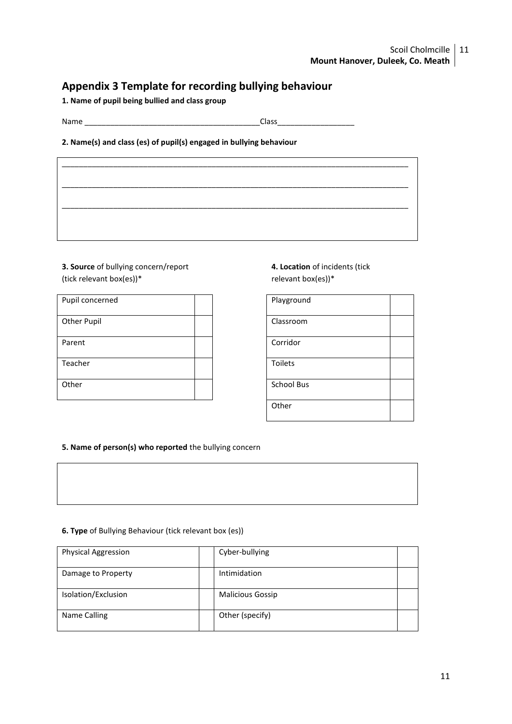# Scoil Cholmcille | 11 **Mount Hanover, Duleek, Co. Meath**

# **Appendix 3 Template for recording bullying behaviour**

**1. Name of pupil being bullied and class group**

Name \_\_\_\_\_\_\_\_\_\_\_\_\_\_\_\_\_\_\_\_\_\_\_\_\_\_\_\_\_\_\_\_\_\_\_\_\_\_\_\_\_Class\_\_\_\_\_\_\_\_\_\_\_\_\_\_\_\_\_\_

#### **2. Name(s) and class (es) of pupil(s) engaged in bullying behaviour**

# **3. Source** of bullying concern/report (tick relevant box(es))\*

| Pupil concerned    |  | Playground        |
|--------------------|--|-------------------|
| <b>Other Pupil</b> |  | Classroom         |
| Parent             |  | Corridor          |
| Teacher            |  | <b>Toilets</b>    |
| Other              |  | <b>School Bus</b> |

# **4. Location** of incidents (tick relevant box(es))\*

| Playground        |  |
|-------------------|--|
| Classroom         |  |
| Corridor          |  |
| Toilets           |  |
| <b>School Bus</b> |  |
| Other             |  |

#### **5. Name of person(s) who reported** the bullying concern

#### **6. Type** of Bullying Behaviour (tick relevant box (es))

| <b>Physical Aggression</b> | Cyber-bullying          |  |
|----------------------------|-------------------------|--|
| Damage to Property         | Intimidation            |  |
| Isolation/Exclusion        | <b>Malicious Gossip</b> |  |
| Name Calling               | Other (specify)         |  |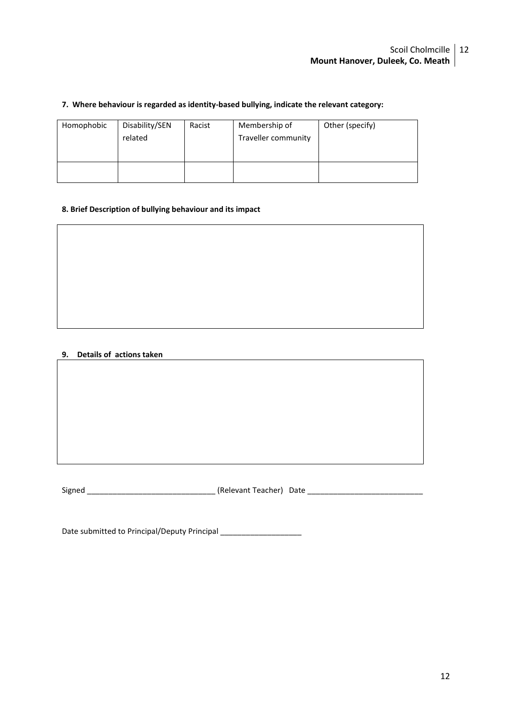#### **7. Where behaviour is regarded as identity-based bullying, indicate the relevant category:**

| Homophobic | Disability/SEN<br>related | Racist | Membership of<br>Traveller community | Other (specify) |
|------------|---------------------------|--------|--------------------------------------|-----------------|
|            |                           |        |                                      |                 |

#### **8. Brief Description of bullying behaviour and its impact**

### **9. Details of actions taken**

Signed \_\_\_\_\_\_\_\_\_\_\_\_\_\_\_\_\_\_\_\_\_\_\_\_\_\_\_\_\_\_ (Relevant Teacher) Date \_\_\_\_\_\_\_\_\_\_\_\_\_\_\_\_\_\_\_\_\_\_\_\_\_\_\_

Date submitted to Principal/Deputy Principal \_\_\_\_\_\_\_\_\_\_\_\_\_\_\_\_\_\_\_\_\_\_\_\_\_\_\_\_\_\_\_\_\_\_\_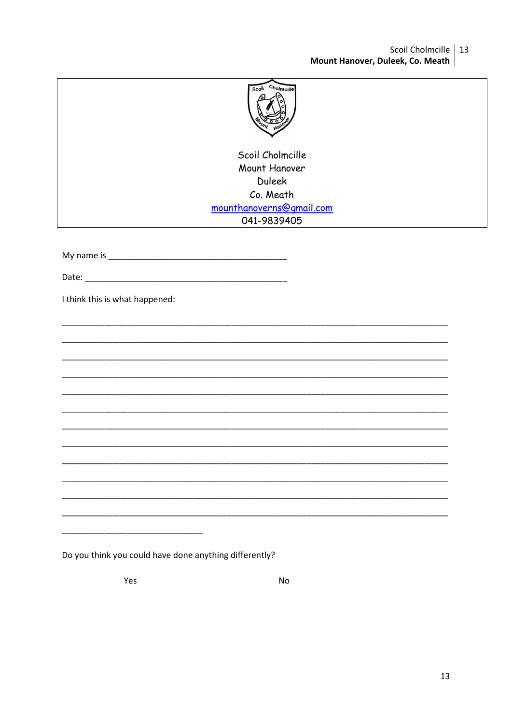## Scoil Cholmcille | 13 Mount Hanover, Duleek, Co. Meath

| Scoi | Cholmcille |
|------|------------|
|      |            |
|      |            |
|      |            |
|      |            |
|      | ano        |
|      |            |
|      |            |

Scoil Cholmcille Mount Hanover **Duleek** Co. Meath mounthanoverns@gmail.com 041-9839405

Date: the contract of the contract of the contract of the contract of the contract of the contract of the contract of the contract of the contract of the contract of the contract of the contract of the contract of the cont

I think this is what happened:

Do you think you could have done anything differently?

Yes

**No**